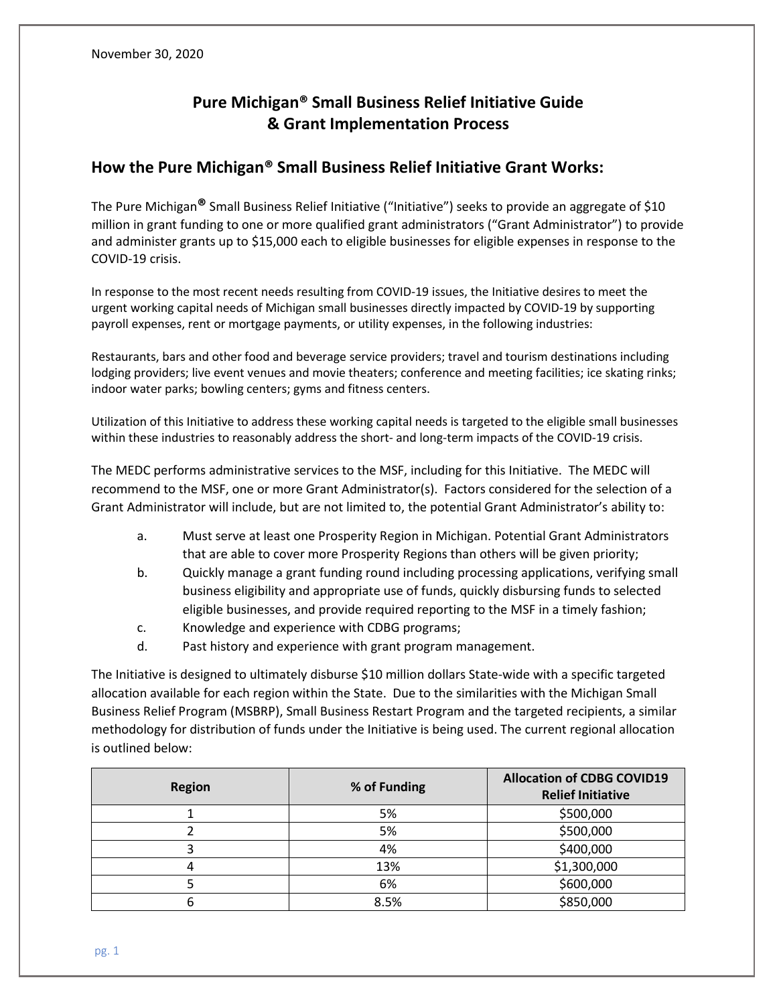# **Pure Michigan® Small Business Relief Initiative Guide & Grant Implementation Process**

# **How the Pure Michigan® Small Business Relief Initiative Grant Works:**

The Pure Michigan**®** Small Business Relief Initiative ("Initiative") seeks to provide an aggregate of \$10 million in grant funding to one or more qualified grant administrators ("Grant Administrator") to provide and administer grants up to \$15,000 each to eligible businesses for eligible expenses in response to the COVID-19 crisis.

In response to the most recent needs resulting from COVID-19 issues, the Initiative desires to meet the urgent working capital needs of Michigan small businesses directly impacted by COVID-19 by supporting payroll expenses, rent or mortgage payments, or utility expenses, in the following industries:

Restaurants, bars and other food and beverage service providers; travel and tourism destinations including lodging providers; live event venues and movie theaters; conference and meeting facilities; ice skating rinks; indoor water parks; bowling centers; gyms and fitness centers.

Utilization of this Initiative to address these working capital needs is targeted to the eligible small businesses within these industries to reasonably address the short- and long-term impacts of the COVID-19 crisis.

The MEDC performs administrative services to the MSF, including for this Initiative. The MEDC will recommend to the MSF, one or more Grant Administrator(s). Factors considered for the selection of a Grant Administrator will include, but are not limited to, the potential Grant Administrator's ability to:

- a. Must serve at least one Prosperity Region in Michigan. Potential Grant Administrators that are able to cover more Prosperity Regions than others will be given priority;
- b. Quickly manage a grant funding round including processing applications, verifying small business eligibility and appropriate use of funds, quickly disbursing funds to selected eligible businesses, and provide required reporting to the MSF in a timely fashion;
- c. Knowledge and experience with CDBG programs;
- d. Past history and experience with grant program management.

The Initiative is designed to ultimately disburse \$10 million dollars State-wide with a specific targeted allocation available for each region within the State. Due to the similarities with the Michigan Small Business Relief Program (MSBRP), Small Business Restart Program and the targeted recipients, a similar methodology for distribution of funds under the Initiative is being used. The current regional allocation is outlined below:

| <b>Region</b> | % of Funding | <b>Allocation of CDBG COVID19</b><br><b>Relief Initiative</b> |
|---------------|--------------|---------------------------------------------------------------|
|               | 5%           | \$500,000                                                     |
|               | 5%           | \$500,000                                                     |
|               | 4%           | \$400,000                                                     |
|               | 13%          | \$1,300,000                                                   |
|               | 6%           | \$600,000                                                     |
|               | 8.5%         | \$850,000                                                     |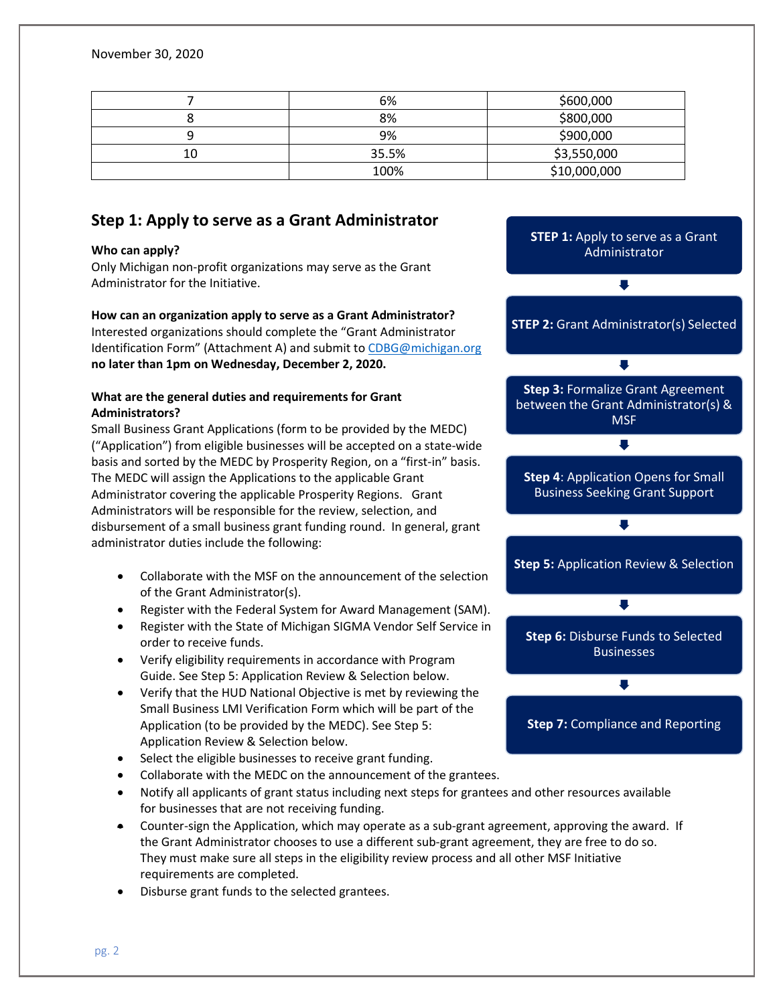November 30, 2020

|    | 6%              | \$600,000    |
|----|-----------------|--------------|
| u  | 8%              | \$800,000    |
|    | \$900,000<br>9% |              |
| 10 | 35.5%           | \$3,550,000  |
|    | 100%            | \$10,000,000 |

# **Step 1: Apply to serve as a Grant Administrator**

#### **Who can apply?**

Only Michigan non-profit organizations may serve as the Grant Administrator for the Initiative.

#### **How can an organization apply to serve as a Grant Administrator?** Interested organizations should complete the "Grant Administrator Identification Form" (Attachment A) and submit to [CDBG@michigan.org](mailto:cdbg@michigan.org)

**no later than 1pm on Wednesday, December 2, 2020.**

### **What are the general duties and requirements for Grant Administrators?**

Small Business Grant Applications (form to be provided by the MEDC) ("Application") from eligible businesses will be accepted on a state-wide basis and sorted by the MEDC by Prosperity Region, on a "first-in" basis. The MEDC will assign the Applications to the applicable Grant Administrator covering the applicable Prosperity Regions. Grant Administrators will be responsible for the review, selection, and disbursement of a small business grant funding round. In general, grant administrator duties include the following:

- Collaborate with the MSF on the announcement of the selection of the Grant Administrator(s).
- Register with the Federal System for Award Management (SAM).
- Register with the State of Michigan SIGMA Vendor Self Service in order to receive funds.
- Verify eligibility requirements in accordance with Program Guide. See Step 5: Application Review & Selection below.
- Verify that the HUD National Objective is met by reviewing the Small Business LMI Verification Form which will be part of the Application (to be provided by the MEDC). See Step 5: Application Review & Selection below.
- Select the eligible businesses to receive grant funding.
- Collaborate with the MEDC on the announcement of the grantees.
- Notify all applicants of grant status including next steps for grantees and other resources available for businesses that are not receiving funding.
- Counter-sign the Application, which may operate as a sub-grant agreement, approving the award. If the Grant Administrator chooses to use a different sub-grant agreement, they are free to do so. They must make sure all steps in the eligibility review process and all other MSF Initiative requirements are completed.
- Disburse grant funds to the selected grantees.

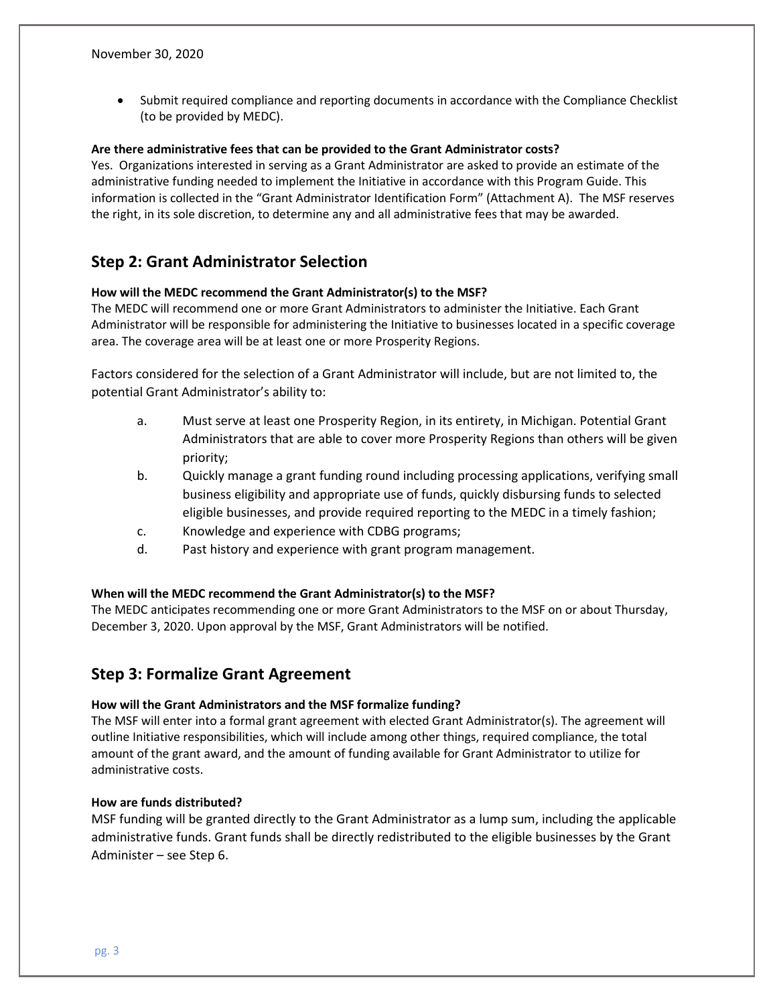• Submit required compliance and reporting documents in accordance with the Compliance Checklist (to be provided by MEDC).

#### **Are there administrative fees that can be provided to the Grant Administrator costs?**

Yes. Organizations interested in serving as a Grant Administrator are asked to provide an estimate of the administrative funding needed to implement the Initiative in accordance with this Program Guide. This information is collected in the "Grant Administrator Identification Form" (Attachment A). The MSF reserves the right, in its sole discretion, to determine any and all administrative fees that may be awarded.

# **Step 2: Grant Administrator Selection**

#### **How will the MEDC recommend the Grant Administrator(s) to the MSF?**

The MEDC will recommend one or more Grant Administrators to administer the Initiative. Each Grant Administrator will be responsible for administering the Initiative to businesses located in a specific coverage area. The coverage area will be at least one or more Prosperity Regions.

Factors considered for the selection of a Grant Administrator will include, but are not limited to, the potential Grant Administrator's ability to:

- a. Must serve at least one Prosperity Region, in its entirety, in Michigan. Potential Grant Administrators that are able to cover more Prosperity Regions than others will be given priority;
- b. Quickly manage a grant funding round including processing applications, verifying small business eligibility and appropriate use of funds, quickly disbursing funds to selected eligible businesses, and provide required reporting to the MEDC in a timely fashion;
- c. Knowledge and experience with CDBG programs;
- d. Past history and experience with grant program management.

#### **When will the MEDC recommend the Grant Administrator(s) to the MSF?**

The MEDC anticipates recommending one or more Grant Administrators to the MSF on or about Thursday, December 3, 2020. Upon approval by the MSF, Grant Administrators will be notified.

## **Step 3: Formalize Grant Agreement**

#### **How will the Grant Administrators and the MSF formalize funding?**

The MSF will enter into a formal grant agreement with elected Grant Administrator(s). The agreement will outline Initiative responsibilities, which will include among other things, required compliance, the total amount of the grant award, and the amount of funding available for Grant Administrator to utilize for administrative costs.

#### **How are funds distributed?**

MSF funding will be granted directly to the Grant Administrator as a lump sum, including the applicable administrative funds. Grant funds shall be directly redistributed to the eligible businesses by the Grant Administer – see Step 6.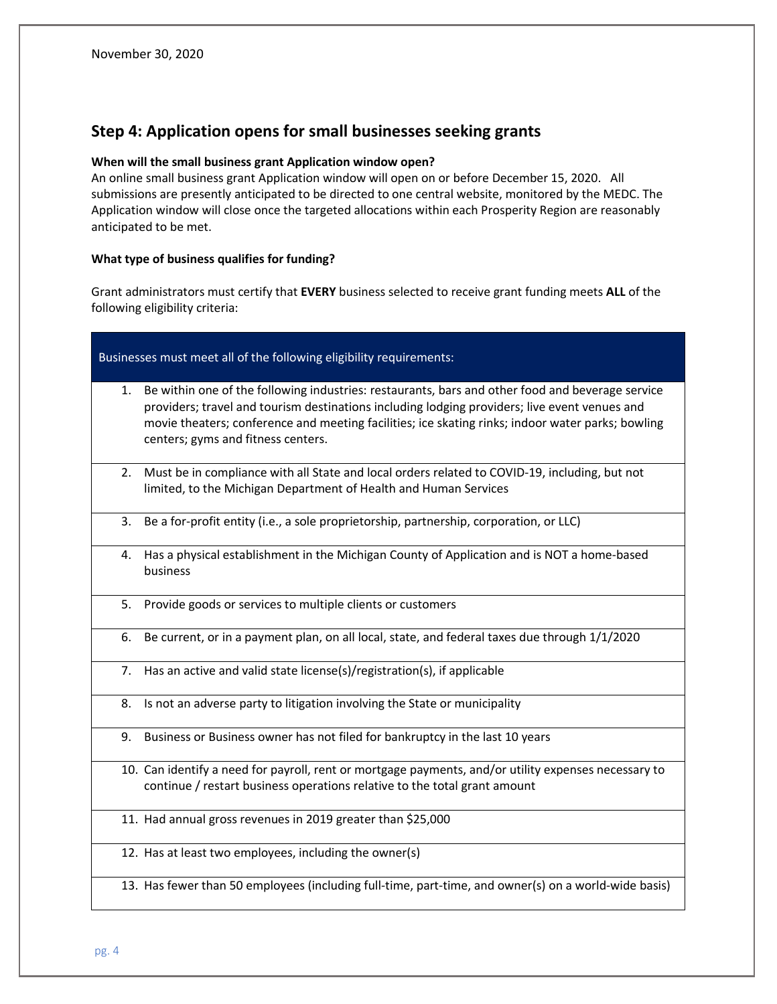# **Step 4: Application opens for small businesses seeking grants**

#### **When will the small business grant Application window open?**

An online small business grant Application window will open on or before December 15, 2020. All submissions are presently anticipated to be directed to one central website, monitored by the MEDC. The Application window will close once the targeted allocations within each Prosperity Region are reasonably anticipated to be met.

#### **What type of business qualifies for funding?**

Grant administrators must certify that **EVERY** business selected to receive grant funding meets **ALL** of the following eligibility criteria:

| Businesses must meet all of the following eligibility requirements: |                                                                                                                                                                                                                                                                                                                                              |  |  |  |  |
|---------------------------------------------------------------------|----------------------------------------------------------------------------------------------------------------------------------------------------------------------------------------------------------------------------------------------------------------------------------------------------------------------------------------------|--|--|--|--|
| 1.                                                                  | Be within one of the following industries: restaurants, bars and other food and beverage service<br>providers; travel and tourism destinations including lodging providers; live event venues and<br>movie theaters; conference and meeting facilities; ice skating rinks; indoor water parks; bowling<br>centers; gyms and fitness centers. |  |  |  |  |
|                                                                     | 2. Must be in compliance with all State and local orders related to COVID-19, including, but not<br>limited, to the Michigan Department of Health and Human Services                                                                                                                                                                         |  |  |  |  |
| 3.                                                                  | Be a for-profit entity (i.e., a sole proprietorship, partnership, corporation, or LLC)                                                                                                                                                                                                                                                       |  |  |  |  |
| 4.                                                                  | Has a physical establishment in the Michigan County of Application and is NOT a home-based<br>business                                                                                                                                                                                                                                       |  |  |  |  |
| 5.                                                                  | Provide goods or services to multiple clients or customers                                                                                                                                                                                                                                                                                   |  |  |  |  |
| 6.                                                                  | Be current, or in a payment plan, on all local, state, and federal taxes due through 1/1/2020                                                                                                                                                                                                                                                |  |  |  |  |
| 7.                                                                  | Has an active and valid state license(s)/registration(s), if applicable                                                                                                                                                                                                                                                                      |  |  |  |  |
| 8.                                                                  | Is not an adverse party to litigation involving the State or municipality                                                                                                                                                                                                                                                                    |  |  |  |  |
| 9.                                                                  | Business or Business owner has not filed for bankruptcy in the last 10 years                                                                                                                                                                                                                                                                 |  |  |  |  |
|                                                                     | 10. Can identify a need for payroll, rent or mortgage payments, and/or utility expenses necessary to<br>continue / restart business operations relative to the total grant amount                                                                                                                                                            |  |  |  |  |
|                                                                     | 11. Had annual gross revenues in 2019 greater than \$25,000                                                                                                                                                                                                                                                                                  |  |  |  |  |
|                                                                     | 12. Has at least two employees, including the owner(s)                                                                                                                                                                                                                                                                                       |  |  |  |  |

13. Has fewer than 50 employees (including full-time, part-time, and owner(s) on a world-wide basis)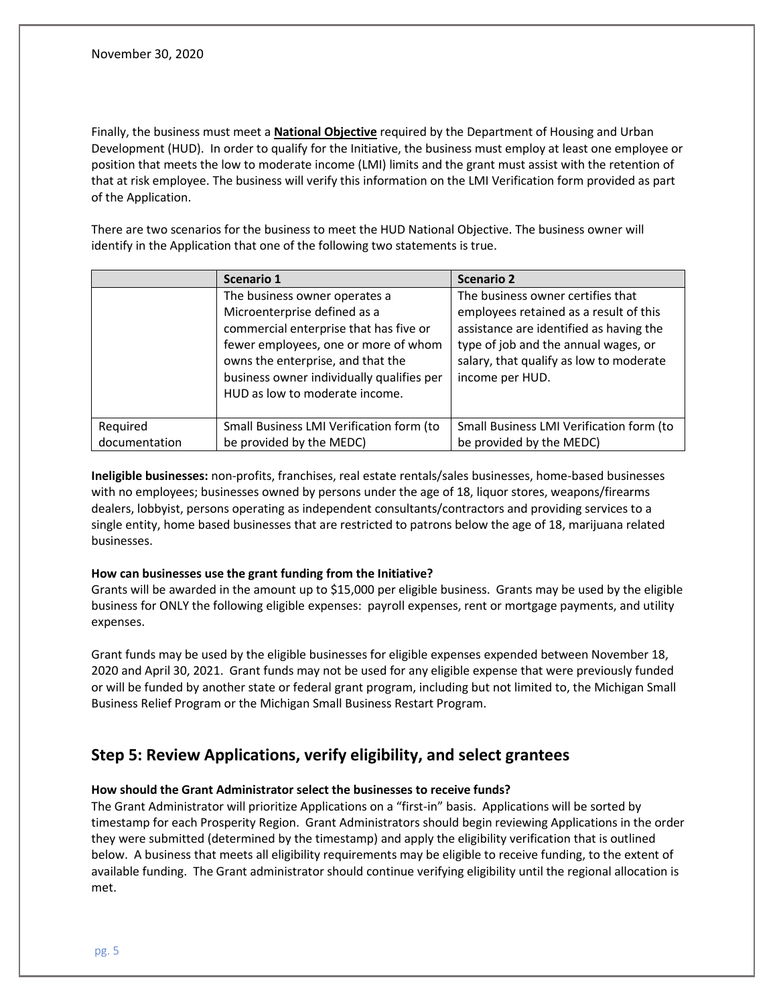Finally, the business must meet a **National Objective** required by the Department of Housing and Urban Development (HUD). In order to qualify for the Initiative, the business must employ at least one employee or position that meets the low to moderate income (LMI) limits and the grant must assist with the retention of that at risk employee. The business will verify this information on the LMI Verification form provided as part of the Application.

There are two scenarios for the business to meet the HUD National Objective. The business owner will identify in the Application that one of the following two statements is true.

|               | Scenario 1                                                                                                                                                                                                                                                          | <b>Scenario 2</b>                                                                                                                                                                                                            |
|---------------|---------------------------------------------------------------------------------------------------------------------------------------------------------------------------------------------------------------------------------------------------------------------|------------------------------------------------------------------------------------------------------------------------------------------------------------------------------------------------------------------------------|
|               | The business owner operates a<br>Microenterprise defined as a<br>commercial enterprise that has five or<br>fewer employees, one or more of whom<br>owns the enterprise, and that the<br>business owner individually qualifies per<br>HUD as low to moderate income. | The business owner certifies that<br>employees retained as a result of this<br>assistance are identified as having the<br>type of job and the annual wages, or<br>salary, that qualify as low to moderate<br>income per HUD. |
| Required      | Small Business LMI Verification form (to                                                                                                                                                                                                                            | Small Business LMI Verification form (to                                                                                                                                                                                     |
| documentation | be provided by the MEDC)                                                                                                                                                                                                                                            | be provided by the MEDC)                                                                                                                                                                                                     |

**Ineligible businesses:** non-profits, franchises, real estate rentals/sales businesses, home-based businesses with no employees; businesses owned by persons under the age of 18, liquor stores, weapons/firearms dealers, lobbyist, persons operating as independent consultants/contractors and providing services to a single entity, home based businesses that are restricted to patrons below the age of 18, marijuana related businesses.

#### **How can businesses use the grant funding from the Initiative?**

Grants will be awarded in the amount up to \$15,000 per eligible business. Grants may be used by the eligible business for ONLY the following eligible expenses: payroll expenses, rent or mortgage payments, and utility expenses.

Grant funds may be used by the eligible businesses for eligible expenses expended between November 18, 2020 and April 30, 2021. Grant funds may not be used for any eligible expense that were previously funded or will be funded by another state or federal grant program, including but not limited to, the Michigan Small Business Relief Program or the Michigan Small Business Restart Program.

# **Step 5: Review Applications, verify eligibility, and select grantees**

#### **How should the Grant Administrator select the businesses to receive funds?**

The Grant Administrator will prioritize Applications on a "first-in" basis. Applications will be sorted by timestamp for each Prosperity Region. Grant Administrators should begin reviewing Applications in the order they were submitted (determined by the timestamp) and apply the eligibility verification that is outlined below. A business that meets all eligibility requirements may be eligible to receive funding, to the extent of available funding. The Grant administrator should continue verifying eligibility until the regional allocation is met.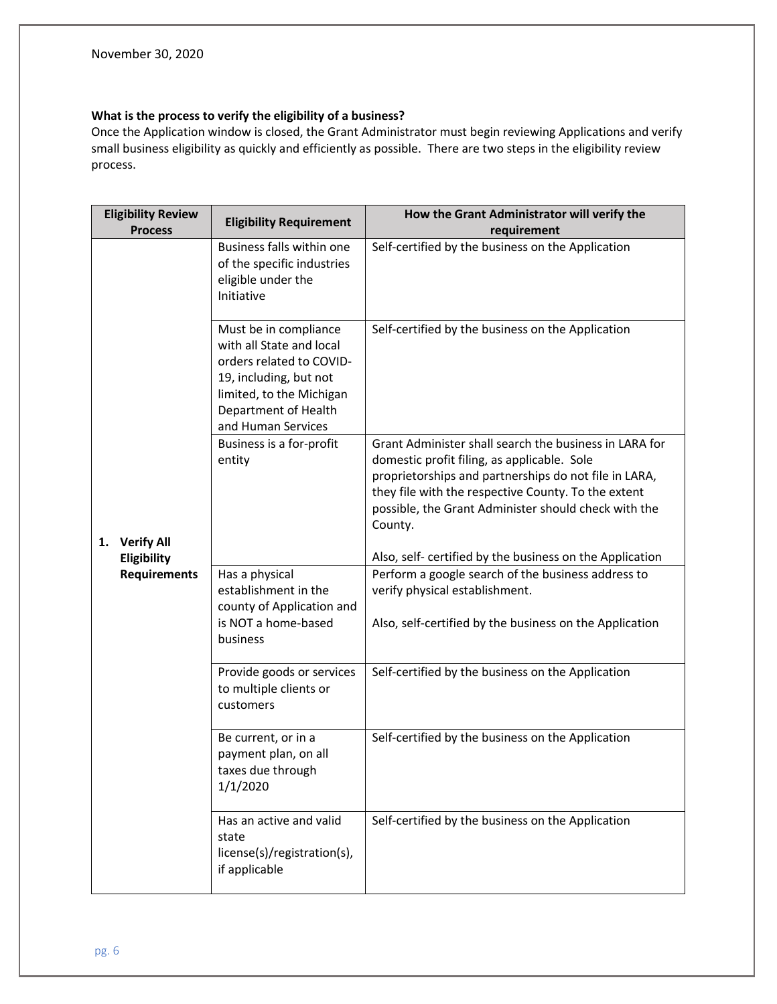# **What is the process to verify the eligibility of a business?**

Once the Application window is closed, the Grant Administrator must begin reviewing Applications and verify small business eligibility as quickly and efficiently as possible. There are two steps in the eligibility review process.

| <b>Eligibility Review</b><br><b>Process</b> |                     | <b>Eligibility Requirement</b>                                                                                                                                                    | How the Grant Administrator will verify the<br>requirement                                                                                                                                                                                                                               |  |  |
|---------------------------------------------|---------------------|-----------------------------------------------------------------------------------------------------------------------------------------------------------------------------------|------------------------------------------------------------------------------------------------------------------------------------------------------------------------------------------------------------------------------------------------------------------------------------------|--|--|
|                                             |                     | Business falls within one<br>of the specific industries<br>eligible under the<br>Initiative                                                                                       | Self-certified by the business on the Application                                                                                                                                                                                                                                        |  |  |
|                                             |                     | Must be in compliance<br>with all State and local<br>orders related to COVID-<br>19, including, but not<br>limited, to the Michigan<br>Department of Health<br>and Human Services | Self-certified by the business on the Application                                                                                                                                                                                                                                        |  |  |
| 1.                                          | <b>Verify All</b>   | Business is a for-profit<br>entity                                                                                                                                                | Grant Administer shall search the business in LARA for<br>domestic profit filing, as applicable. Sole<br>proprietorships and partnerships do not file in LARA,<br>they file with the respective County. To the extent<br>possible, the Grant Administer should check with the<br>County. |  |  |
|                                             | Eligibility         |                                                                                                                                                                                   | Also, self- certified by the business on the Application                                                                                                                                                                                                                                 |  |  |
|                                             | <b>Requirements</b> | Has a physical<br>establishment in the<br>county of Application and                                                                                                               | Perform a google search of the business address to<br>verify physical establishment.                                                                                                                                                                                                     |  |  |
|                                             |                     | is NOT a home-based<br>business                                                                                                                                                   | Also, self-certified by the business on the Application                                                                                                                                                                                                                                  |  |  |
|                                             |                     | Provide goods or services<br>to multiple clients or<br>customers                                                                                                                  | Self-certified by the business on the Application                                                                                                                                                                                                                                        |  |  |
|                                             |                     | Be current, or in a<br>payment plan, on all<br>taxes due through<br>1/1/2020                                                                                                      | Self-certified by the business on the Application                                                                                                                                                                                                                                        |  |  |
|                                             |                     | Has an active and valid<br>state<br>license(s)/registration(s),<br>if applicable                                                                                                  | Self-certified by the business on the Application                                                                                                                                                                                                                                        |  |  |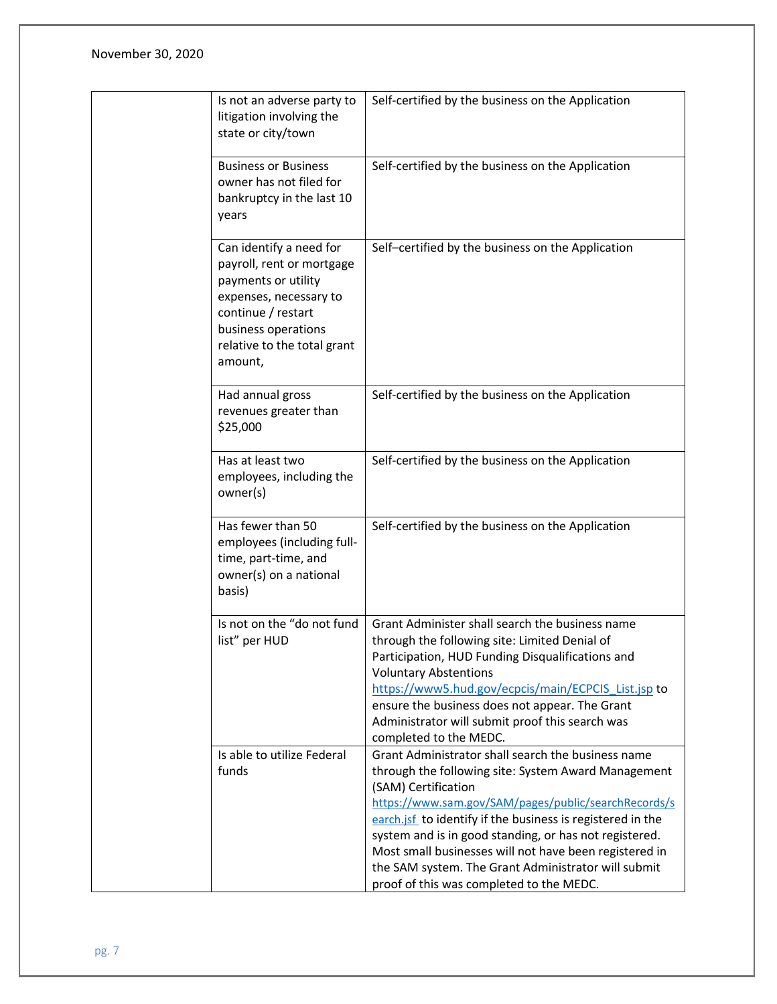November 30, 2020

| Is not an adverse party to<br>litigation involving the<br>state or city/town                                                                                                                 | Self-certified by the business on the Application                                                                                                                                                                                                                                                                                                                                                                                                                             |
|----------------------------------------------------------------------------------------------------------------------------------------------------------------------------------------------|-------------------------------------------------------------------------------------------------------------------------------------------------------------------------------------------------------------------------------------------------------------------------------------------------------------------------------------------------------------------------------------------------------------------------------------------------------------------------------|
| <b>Business or Business</b><br>owner has not filed for<br>bankruptcy in the last 10<br>years                                                                                                 | Self-certified by the business on the Application                                                                                                                                                                                                                                                                                                                                                                                                                             |
| Can identify a need for<br>payroll, rent or mortgage<br>payments or utility<br>expenses, necessary to<br>continue / restart<br>business operations<br>relative to the total grant<br>amount, | Self-certified by the business on the Application                                                                                                                                                                                                                                                                                                                                                                                                                             |
| Had annual gross<br>revenues greater than<br>\$25,000                                                                                                                                        | Self-certified by the business on the Application                                                                                                                                                                                                                                                                                                                                                                                                                             |
| Has at least two<br>employees, including the<br>owner(s)                                                                                                                                     | Self-certified by the business on the Application                                                                                                                                                                                                                                                                                                                                                                                                                             |
| Has fewer than 50<br>employees (including full-<br>time, part-time, and<br>owner(s) on a national<br>basis)                                                                                  | Self-certified by the business on the Application                                                                                                                                                                                                                                                                                                                                                                                                                             |
| Is not on the "do not fund<br>list" per HUD                                                                                                                                                  | Grant Administer shall search the business name<br>through the following site: Limited Denial of<br>Participation, HUD Funding Disqualifications and<br><b>Voluntary Abstentions</b><br>https://www5.hud.gov/ecpcis/main/ECPCIS List.jsp to<br>ensure the business does not appear. The Grant<br>Administrator will submit proof this search was<br>completed to the MEDC.                                                                                                    |
| Is able to utilize Federal<br>funds                                                                                                                                                          | Grant Administrator shall search the business name<br>through the following site: System Award Management<br>(SAM) Certification<br>https://www.sam.gov/SAM/pages/public/searchRecords/s<br>earch.jsf to identify if the business is registered in the<br>system and is in good standing, or has not registered.<br>Most small businesses will not have been registered in<br>the SAM system. The Grant Administrator will submit<br>proof of this was completed to the MEDC. |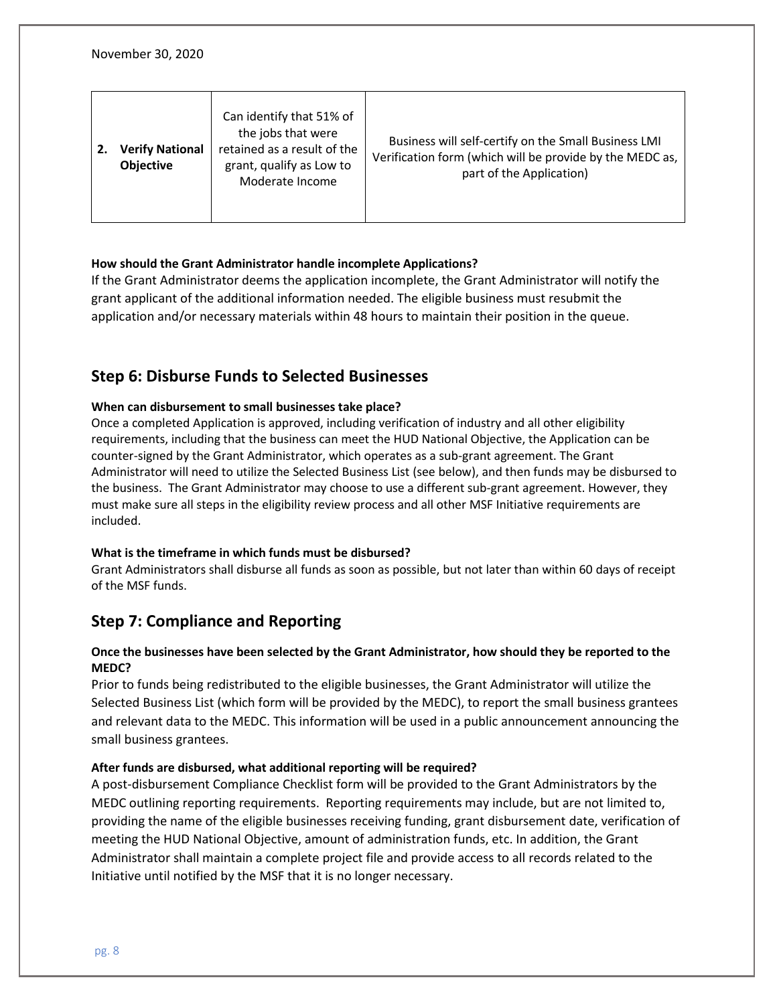| <b>Verify National</b><br><b>Objective</b> | Can identify that 51% of<br>the jobs that were<br>retained as a result of the<br>grant, qualify as Low to<br>Moderate Income | Business will self-certify on the Small Business LMI<br>Verification form (which will be provide by the MEDC as,<br>part of the Application) |
|--------------------------------------------|------------------------------------------------------------------------------------------------------------------------------|----------------------------------------------------------------------------------------------------------------------------------------------|
|                                            |                                                                                                                              |                                                                                                                                              |

#### **How should the Grant Administrator handle incomplete Applications?**

If the Grant Administrator deems the application incomplete, the Grant Administrator will notify the grant applicant of the additional information needed. The eligible business must resubmit the application and/or necessary materials within 48 hours to maintain their position in the queue.

## **Step 6: Disburse Funds to Selected Businesses**

#### **When can disbursement to small businesses take place?**

Once a completed Application is approved, including verification of industry and all other eligibility requirements, including that the business can meet the HUD National Objective, the Application can be counter-signed by the Grant Administrator, which operates as a sub-grant agreement. The Grant Administrator will need to utilize the Selected Business List (see below), and then funds may be disbursed to the business. The Grant Administrator may choose to use a different sub-grant agreement. However, they must make sure all steps in the eligibility review process and all other MSF Initiative requirements are included.

#### **What is the timeframe in which funds must be disbursed?**

Grant Administrators shall disburse all funds as soon as possible, but not later than within 60 days of receipt of the MSF funds.

# **Step 7: Compliance and Reporting**

#### **Once the businesses have been selected by the Grant Administrator, how should they be reported to the MEDC?**

Prior to funds being redistributed to the eligible businesses, the Grant Administrator will utilize the Selected Business List (which form will be provided by the MEDC), to report the small business grantees and relevant data to the MEDC. This information will be used in a public announcement announcing the small business grantees.

#### **After funds are disbursed, what additional reporting will be required?**

A post-disbursement Compliance Checklist form will be provided to the Grant Administrators by the MEDC outlining reporting requirements. Reporting requirements may include, but are not limited to, providing the name of the eligible businesses receiving funding, grant disbursement date, verification of meeting the HUD National Objective, amount of administration funds, etc. In addition, the Grant Administrator shall maintain a complete project file and provide access to all records related to the Initiative until notified by the MSF that it is no longer necessary.